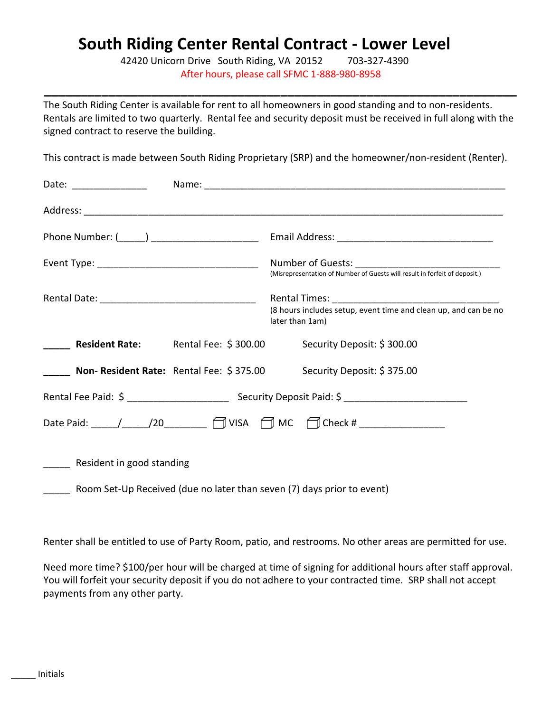# **South Riding Center Rental Contract - Lower Level**

42420 Unicorn Drive South Riding, VA 20152 703-327-4390 After hours, please call SFMC 1-888-980-8958

The South Riding Center is available for rent to all homeowners in good standing and to non-residents. Rentals are limited to two quarterly. Rental fee and security deposit must be received in full along with the signed contract to reserve the building.

**\_\_\_\_\_\_\_\_\_\_\_\_\_\_\_\_\_\_\_\_\_\_\_\_\_\_\_\_\_\_\_\_\_\_\_\_\_\_\_\_\_\_\_\_\_\_\_\_\_\_\_\_\_\_\_\_\_\_\_\_\_\_\_\_\_\_**

This contract is made between South Riding Proprietary (SRP) and the homeowner/non-resident (Renter).

| Phone Number: (______) __________________________ |                                            |                                                                                    |  |
|---------------------------------------------------|--------------------------------------------|------------------------------------------------------------------------------------|--|
|                                                   |                                            |                                                                                    |  |
|                                                   |                                            | (8 hours includes setup, event time and clean up, and can be no<br>later than 1am) |  |
|                                                   | <b>Resident Rate:</b> Rental Fee: \$300.00 | Security Deposit: \$300.00                                                         |  |
|                                                   |                                            | <b>Non- Resident Rate:</b> Rental Fee: \$375.00 Security Deposit: \$375.00         |  |
|                                                   |                                            |                                                                                    |  |
|                                                   |                                            |                                                                                    |  |
| ______ Resident in good standing                  |                                            |                                                                                    |  |

\_\_\_\_\_ Room Set-Up Received (due no later than seven (7) days prior to event)

Renter shall be entitled to use of Party Room, patio, and restrooms. No other areas are permitted for use.

Need more time? \$100/per hour will be charged at time of signing for additional hours after staff approval. You will forfeit your security deposit if you do not adhere to your contracted time. SRP shall not accept payments from any other party.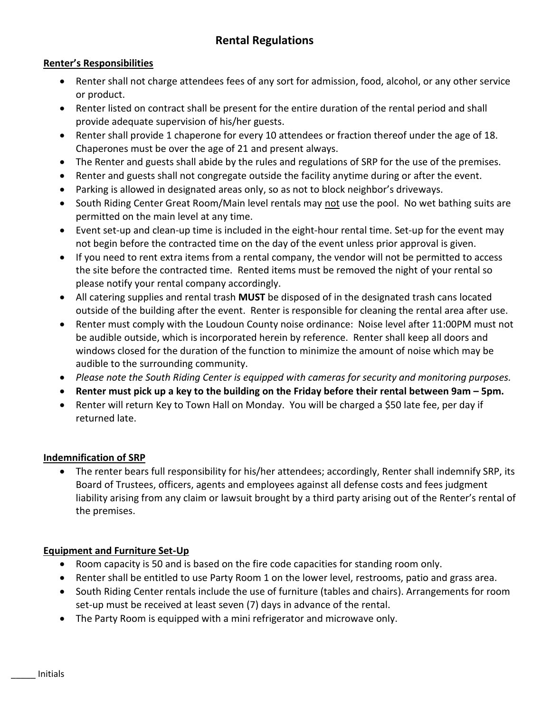### **Rental Regulations**

#### **Renter's Responsibilities**

- Renter shall not charge attendees fees of any sort for admission, food, alcohol, or any other service or product.
- Renter listed on contract shall be present for the entire duration of the rental period and shall provide adequate supervision of his/her guests.
- Renter shall provide 1 chaperone for every 10 attendees or fraction thereof under the age of 18. Chaperones must be over the age of 21 and present always.
- The Renter and guests shall abide by the rules and regulations of SRP for the use of the premises.
- Renter and guests shall not congregate outside the facility anytime during or after the event.
- Parking is allowed in designated areas only, so as not to block neighbor's driveways.
- South Riding Center Great Room/Main level rentals may not use the pool. No wet bathing suits are permitted on the main level at any time.
- Event set-up and clean-up time is included in the eight-hour rental time. Set-up for the event may not begin before the contracted time on the day of the event unless prior approval is given.
- If you need to rent extra items from a rental company, the vendor will not be permitted to access the site before the contracted time. Rented items must be removed the night of your rental so please notify your rental company accordingly.
- All catering supplies and rental trash **MUST** be disposed of in the designated trash cans located outside of the building after the event. Renter is responsible for cleaning the rental area after use.
- Renter must comply with the Loudoun County noise ordinance: Noise level after 11:00PM must not be audible outside, which is incorporated herein by reference. Renter shall keep all doors and windows closed for the duration of the function to minimize the amount of noise which may be audible to the surrounding community.
- *Please note the South Riding Center is equipped with cameras for security and monitoring purposes.*
- **Renter must pick up a key to the building on the Friday before their rental between 9am – 5pm.**
- Renter will return Key to Town Hall on Monday. You will be charged a \$50 late fee, per day if returned late.

#### **Indemnification of SRP**

• The renter bears full responsibility for his/her attendees; accordingly, Renter shall indemnify SRP, its Board of Trustees, officers, agents and employees against all defense costs and fees judgment liability arising from any claim or lawsuit brought by a third party arising out of the Renter's rental of the premises.

#### **Equipment and Furniture Set-Up**

- Room capacity is 50 and is based on the fire code capacities for standing room only.
- Renter shall be entitled to use Party Room 1 on the lower level, restrooms, patio and grass area.
- South Riding Center rentals include the use of furniture (tables and chairs). Arrangements for room set-up must be received at least seven (7) days in advance of the rental.
- The Party Room is equipped with a mini refrigerator and microwave only.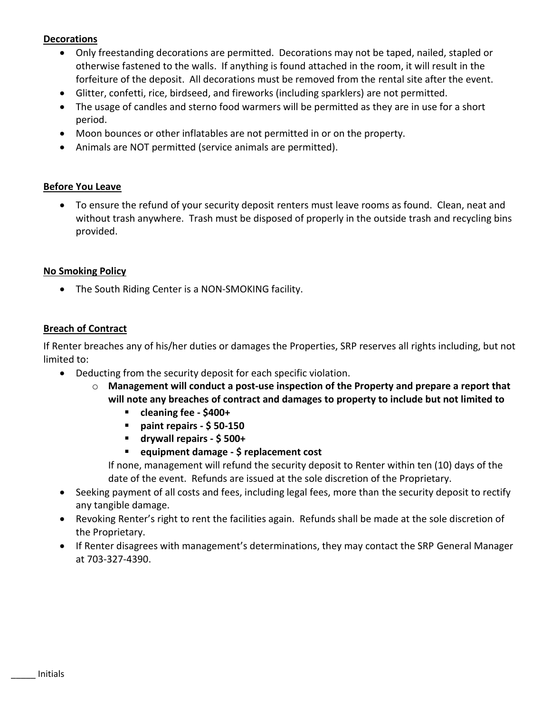#### **Decorations**

- Only freestanding decorations are permitted. Decorations may not be taped, nailed, stapled or otherwise fastened to the walls. If anything is found attached in the room, it will result in the forfeiture of the deposit. All decorations must be removed from the rental site after the event.
- Glitter, confetti, rice, birdseed, and fireworks (including sparklers) are not permitted.
- The usage of candles and sterno food warmers will be permitted as they are in use for a short period.
- Moon bounces or other inflatables are not permitted in or on the property.
- Animals are NOT permitted (service animals are permitted).

#### **Before You Leave**

• To ensure the refund of your security deposit renters must leave rooms as found. Clean, neat and without trash anywhere. Trash must be disposed of properly in the outside trash and recycling bins provided.

#### **No Smoking Policy**

• The South Riding Center is a NON-SMOKING facility.

#### **Breach of Contract**

If Renter breaches any of his/her duties or damages the Properties, SRP reserves all rights including, but not limited to:

- Deducting from the security deposit for each specific violation.
	- o **Management will conduct a post-use inspection of the Property and prepare a report that will note any breaches of contract and damages to property to include but not limited to** 
		- **cleaning fee - \$400+**
		- **paint repairs - \$ 50-150**
		- **drywall repairs - \$ 500+**
		- **equipment damage - \$ replacement cost**

If none, management will refund the security deposit to Renter within ten (10) days of the date of the event. Refunds are issued at the sole discretion of the Proprietary.

- Seeking payment of all costs and fees, including legal fees, more than the security deposit to rectify any tangible damage.
- Revoking Renter's right to rent the facilities again. Refunds shall be made at the sole discretion of the Proprietary.
- If Renter disagrees with management's determinations, they may contact the SRP General Manager at 703-327-4390.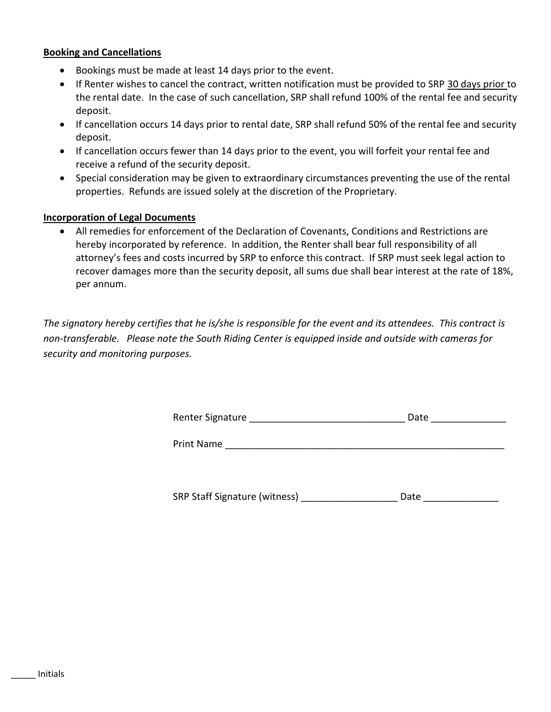#### **Booking and Cancellations**

- Bookings must be made at least 14 days prior to the event.
- If Renter wishes to cancel the contract, written notification must be provided to SRP 30 days prior to the rental date. In the case of such cancellation, SRP shall refund 100% of the rental fee and security deposit.
- If cancellation occurs 14 days prior to rental date, SRP shall refund 50% of the rental fee and security deposit.
- If cancellation occurs fewer than 14 days prior to the event, you will forfeit your rental fee and receive a refund of the security deposit.
- Special consideration may be given to extraordinary circumstances preventing the use of the rental properties. Refunds are issued solely at the discretion of the Proprietary.

#### **Incorporation of Legal Documents**

• All remedies for enforcement of the Declaration of Covenants, Conditions and Restrictions are hereby incorporated by reference. In addition, the Renter shall bear full responsibility of all attorney's fees and costs incurred by SRP to enforce this contract. If SRP must seek legal action to recover damages more than the security deposit, all sums due shall bear interest at the rate of 18%, per annum.

*The signatory hereby certifies that he is/she is responsible for the event and its attendees. This contract is non-transferable. Please note the South Riding Center is equipped inside and outside with cameras for security and monitoring purposes.*

| Renter Signature | Date |  |
|------------------|------|--|
|                  |      |  |

Print Name and the set of the set of the set of the set of the set of the set of the set of the set of the set of the set of the set of the set of the set of the set of the set of the set of the set of the set of the set o

SRP Staff Signature (witness) \_\_\_\_\_\_\_\_\_\_\_\_\_\_\_\_\_\_\_\_\_\_\_\_\_\_ Date \_\_\_\_\_\_\_\_\_\_\_\_\_\_\_\_\_\_